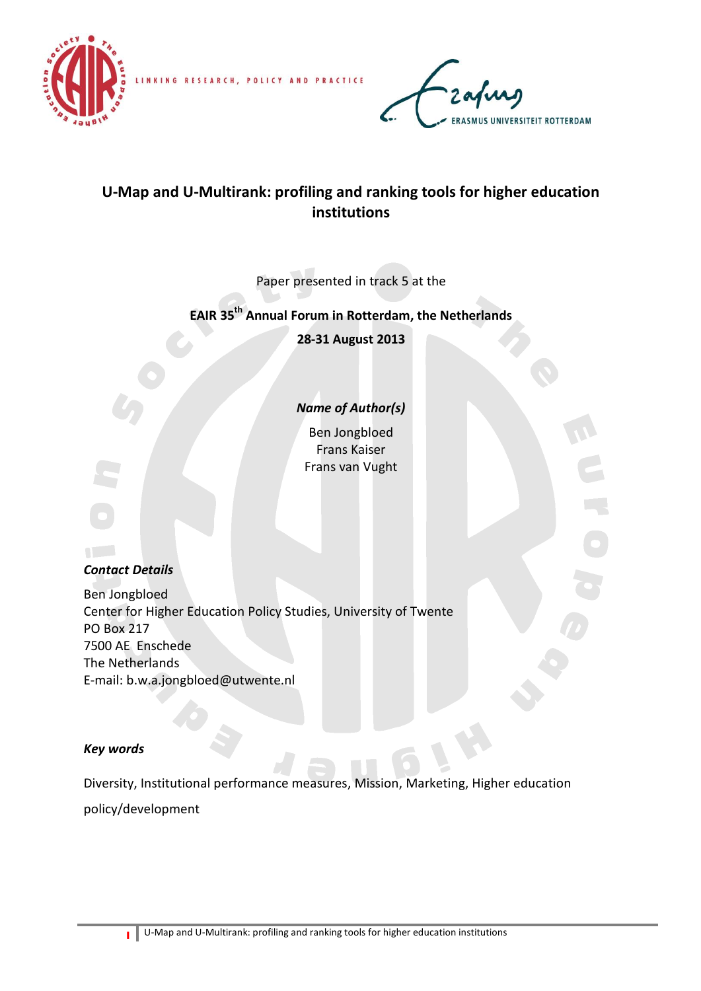

LINKING RESEARCH, POLICY AND PRACTICE



# **U-Map and U-Multirank: profiling and ranking tools for higher education institutions**

Paper presented in track 5 at the

## **EAIR 35 th Annual Forum in Rotterdam, the Netherlands**

**28-31 August 2013**

## *Name of Author(s)*

Ben Jongbloed Frans Kaiser Frans van Vught



## *Contact Details*

Ben Jongbloed Center for Higher Education Policy Studies, University of Twente PO Box 217 7500 AE Enschede The Netherlands E-mail: b.w.a.jongbloed@utwente.nl

## *Key words*

Diversity, Institutional performance measures, Mission, Marketing, Higher education policy/development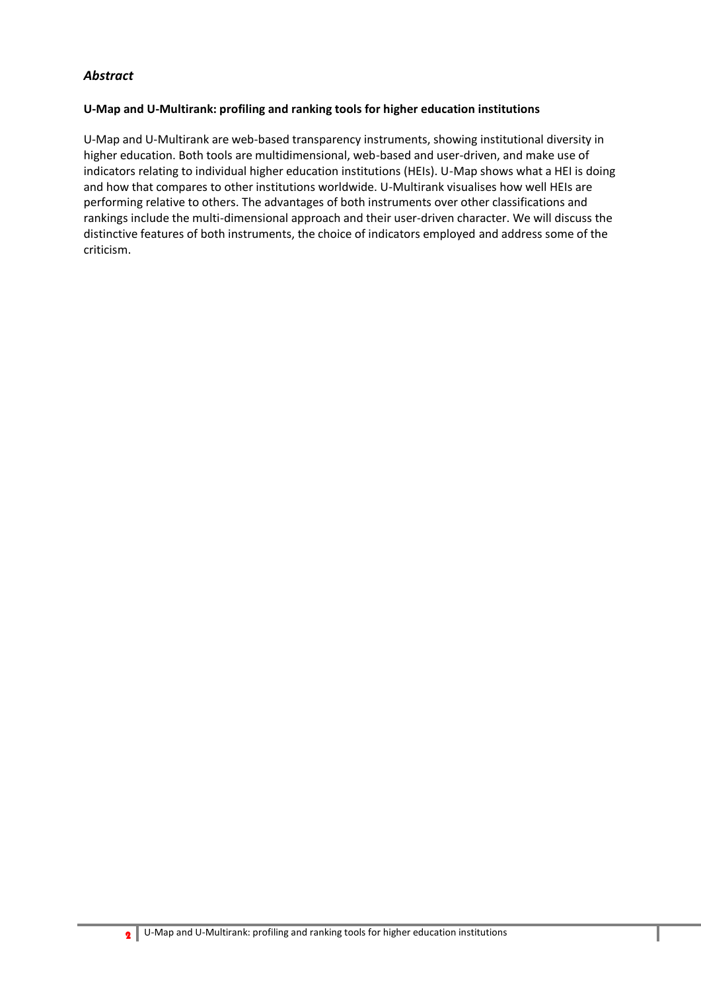## *Abstract*

#### **U-Map and U-Multirank: profiling and ranking tools for higher education institutions**

U-Map and U-Multirank are web-based transparency instruments, showing institutional diversity in higher education. Both tools are multidimensional, web-based and user-driven, and make use of indicators relating to individual higher education institutions (HEIs). U-Map shows what a HEI is doing and how that compares to other institutions worldwide. U-Multirank visualises how well HEIs are performing relative to others. The advantages of both instruments over other classifications and rankings include the multi-dimensional approach and their user-driven character. We will discuss the distinctive features of both instruments, the choice of indicators employed and address some of the criticism.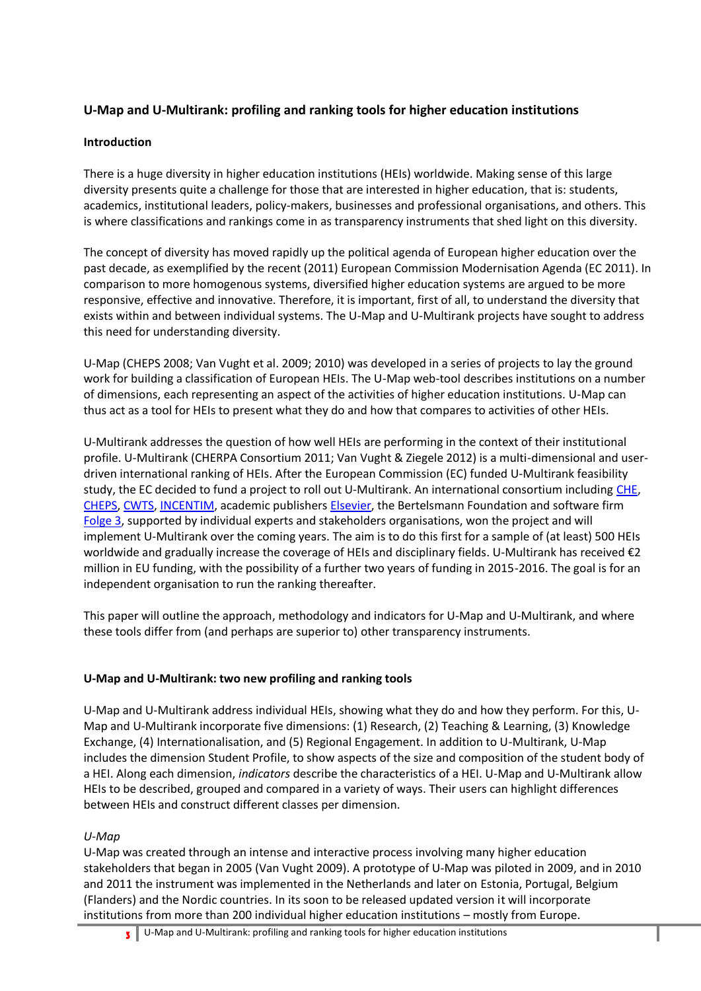## **U-Map and U-Multirank: profiling and ranking tools for higher education institutions**

## **Introduction**

There is a huge diversity in higher education institutions (HEIs) worldwide. Making sense of this large diversity presents quite a challenge for those that are interested in higher education, that is: students, academics, institutional leaders, policy-makers, businesses and professional organisations, and others. This is where classifications and rankings come in as transparency instruments that shed light on this diversity.

The concept of diversity has moved rapidly up the political agenda of European higher education over the past decade, as exemplified by the recent (2011) European Commission Modernisation Agenda (EC 2011). In comparison to more homogenous systems, diversified higher education systems are argued to be more responsive, effective and innovative. Therefore, it is important, first of all, to understand the diversity that exists within and between individual systems. The U-Map and U-Multirank projects have sought to address this need for understanding diversity.

U-Map (CHEPS 2008; Van Vught et al. 2009; 2010) was developed in a series of projects to lay the ground work for building a classification of European HEIs. The U-Map web-tool describes institutions on a number of dimensions, each representing an aspect of the activities of higher education institutions. U-Map can thus act as a tool for HEIs to present what they do and how that compares to activities of other HEIs.

U-Multirank addresses the question of how well HEIs are performing in the context of their institutional profile. U-Multirank (CHERPA Consortium 2011; Van Vught & Ziegele 2012) is a multi-dimensional and userdriven international ranking of HEIs. After the European Commission (EC) funded U-Multirank feasibility study, the EC decided to fund a project to roll out U-Multirank. An international consortium including [CHE,](http://www.che.de/) [CHEPS,](http://www.utwente.nl/mb/cheps/) [CWTS,](http://www.cwts.nl/) [INCENTIM,](http://www.incentim.org/) academic publisher[s Elsevier,](http://www.elsevier.com/) the Bertelsmann Foundation and software firm [Folge 3,](http://www.folge3.de/wp/) supported by individual experts and stakeholders organisations, won the project and will implement U-Multirank over the coming years. The aim is to do this first for a sample of (at least) 500 HEIs worldwide and gradually increase the coverage of HEIs and disciplinary fields. U-Multirank has received €2 million in EU funding, with the possibility of a further two years of funding in 2015-2016. The goal is for an independent organisation to run the ranking thereafter.

This paper will outline the approach, methodology and indicators for U-Map and U-Multirank, and where these tools differ from (and perhaps are superior to) other transparency instruments.

## **U-Map and U-Multirank: two new profiling and ranking tools**

U-Map and U-Multirank address individual HEIs, showing what they do and how they perform. For this, U-Map and U-Multirank incorporate five dimensions: (1) Research, (2) Teaching & Learning, (3) Knowledge Exchange, (4) Internationalisation, and (5) Regional Engagement. In addition to U-Multirank, U-Map includes the dimension Student Profile, to show aspects of the size and composition of the student body of a HEI. Along each dimension, *indicators* describe the characteristics of a HEI. U-Map and U-Multirank allow HEIs to be described, grouped and compared in a variety of ways. Their users can highlight differences between HEIs and construct different classes per dimension.

## *U-Map*

U-Map was created through an intense and interactive process involving many higher education stakeholders that began in 2005 (Van Vught 2009). A prototype of U-Map was piloted in 2009, and in 2010 and 2011 the instrument was implemented in the Netherlands and later on Estonia, Portugal, Belgium (Flanders) and the Nordic countries. In its soon to be released updated version it will incorporate institutions from more than 200 individual higher education institutions – mostly from Europe.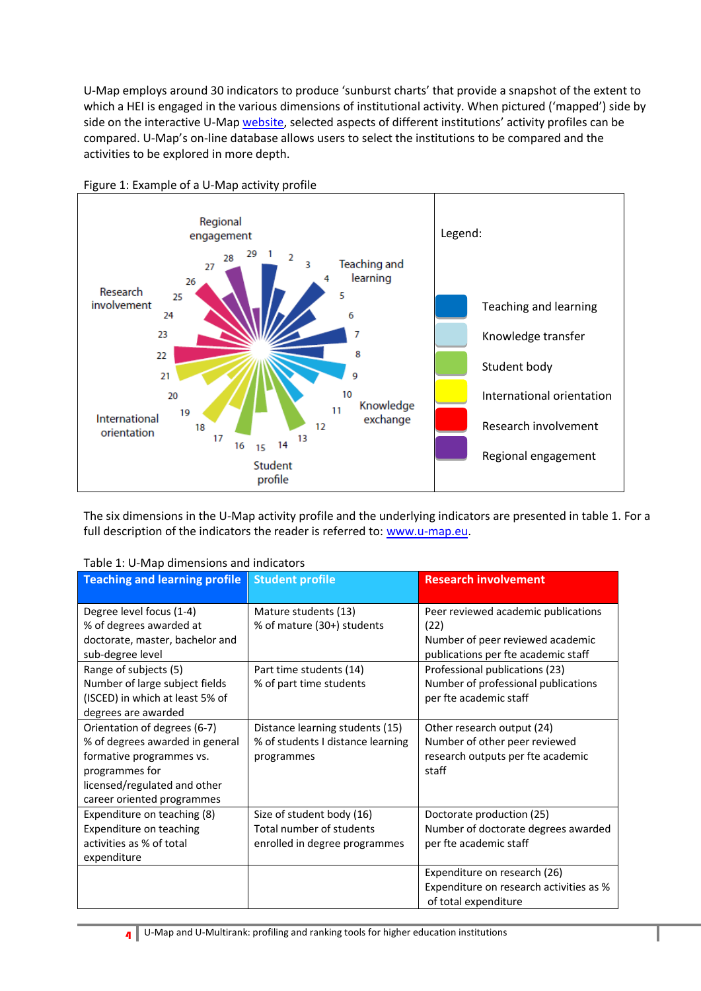U-Map employs around 30 indicators to produce 'sunburst charts' that provide a snapshot of the extent to which a HEI is engaged in the various dimensions of institutional activity. When pictured ('mapped') side by side on the interactive U-Map [website](http://new.u-map.org/), selected aspects of different institutions' activity profiles can be compared. U-Map's on-line database allows users to select the institutions to be compared and the activities to be explored in more depth.



Figure 1: Example of a U-Map activity profile

The six dimensions in the U-Map activity profile and the underlying indicators are presented in table 1. For a full description of the indicators the reader is referred to: [www.u-map.eu.](http://www.u-map.eu/)

| <b>Teaching and learning profile</b>                                                                                                                                        | <b>Student profile</b>                                                                 | <b>Research involvement</b>                                                                                                                              |
|-----------------------------------------------------------------------------------------------------------------------------------------------------------------------------|----------------------------------------------------------------------------------------|----------------------------------------------------------------------------------------------------------------------------------------------------------|
| Degree level focus (1-4)<br>% of degrees awarded at<br>doctorate, master, bachelor and<br>sub-degree level<br>Range of subjects (5)                                         | Mature students (13)<br>% of mature (30+) students<br>Part time students (14)          | Peer reviewed academic publications<br>(22)<br>Number of peer reviewed academic<br>publications per fte academic staff<br>Professional publications (23) |
| Number of large subject fields<br>(ISCED) in which at least 5% of<br>degrees are awarded                                                                                    | % of part time students                                                                | Number of professional publications<br>per fte academic staff                                                                                            |
| Orientation of degrees (6-7)<br>% of degrees awarded in general<br>formative programmes vs.<br>programmes for<br>licensed/regulated and other<br>career oriented programmes | Distance learning students (15)<br>% of students I distance learning<br>programmes     | Other research output (24)<br>Number of other peer reviewed<br>research outputs per fte academic<br>staff                                                |
| Expenditure on teaching (8)<br>Expenditure on teaching<br>activities as % of total<br>expenditure                                                                           | Size of student body (16)<br>Total number of students<br>enrolled in degree programmes | Doctorate production (25)<br>Number of doctorate degrees awarded<br>per fte academic staff                                                               |
|                                                                                                                                                                             |                                                                                        | Expenditure on research (26)<br>Expenditure on research activities as %<br>of total expenditure                                                          |

| Table 1: U-Map dimensions and indicators |  |  |
|------------------------------------------|--|--|
|------------------------------------------|--|--|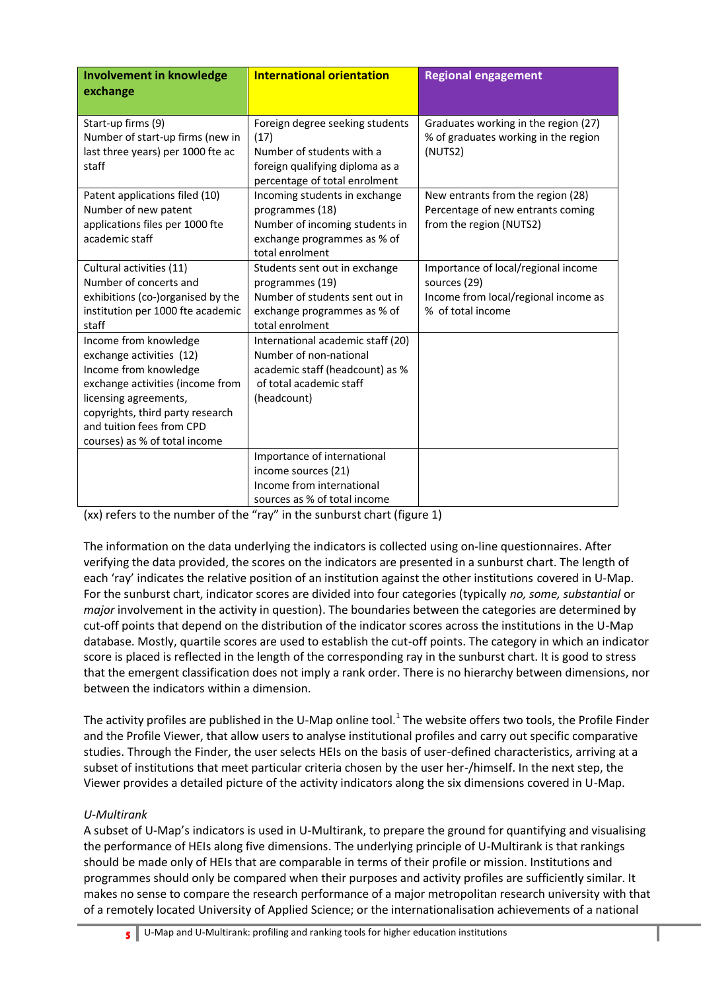| <b>Involvement in knowledge</b><br>exchange                                                                                                                                                                                               | <b>International orientation</b>                                                                                                         | <b>Regional engagement</b>                                                                                       |
|-------------------------------------------------------------------------------------------------------------------------------------------------------------------------------------------------------------------------------------------|------------------------------------------------------------------------------------------------------------------------------------------|------------------------------------------------------------------------------------------------------------------|
| Start-up firms (9)<br>Number of start-up firms (new in<br>last three years) per 1000 fte ac<br>staff                                                                                                                                      | Foreign degree seeking students<br>(17)<br>Number of students with a<br>foreign qualifying diploma as a<br>percentage of total enrolment | Graduates working in the region (27)<br>% of graduates working in the region<br>(NUTS2)                          |
| Patent applications filed (10)<br>Number of new patent<br>applications files per 1000 fte<br>academic staff                                                                                                                               | Incoming students in exchange<br>programmes (18)<br>Number of incoming students in<br>exchange programmes as % of<br>total enrolment     | New entrants from the region (28)<br>Percentage of new entrants coming<br>from the region (NUTS2)                |
| Cultural activities (11)<br>Number of concerts and<br>exhibitions (co-)organised by the<br>institution per 1000 fte academic<br>staff                                                                                                     | Students sent out in exchange<br>programmes (19)<br>Number of students sent out in<br>exchange programmes as % of<br>total enrolment     | Importance of local/regional income<br>sources (29)<br>Income from local/regional income as<br>% of total income |
| Income from knowledge<br>exchange activities (12)<br>Income from knowledge<br>exchange activities (income from<br>licensing agreements,<br>copyrights, third party research<br>and tuition fees from CPD<br>courses) as % of total income | International academic staff (20)<br>Number of non-national<br>academic staff (headcount) as %<br>of total academic staff<br>(headcount) |                                                                                                                  |
|                                                                                                                                                                                                                                           | Importance of international<br>income sources (21)<br>Income from international<br>sources as % of total income                          |                                                                                                                  |

(xx) refers to the number of the "ray" in the sunburst chart (figure 1)

The information on the data underlying the indicators is collected using on-line questionnaires. After verifying the data provided, the scores on the indicators are presented in a sunburst chart. The length of each 'ray' indicates the relative position of an institution against the other institutions covered in U-Map. For the sunburst chart, indicator scores are divided into four categories (typically *no, some, substantial* or *major* involvement in the activity in question). The boundaries between the categories are determined by cut-off points that depend on the distribution of the indicator scores across the institutions in the U-Map database. Mostly, quartile scores are used to establish the cut-off points. The category in which an indicator score is placed is reflected in the length of the corresponding ray in the sunburst chart. It is good to stress that the emergent classification does not imply a rank order. There is no hierarchy between dimensions, nor between the indicators within a dimension.

The activity profiles are published in the U-Map online tool.<sup>1</sup> The website offers two tools, the Profile Finder and the Profile Viewer, that allow users to analyse institutional profiles and carry out specific comparative studies. Through the Finder, the user selects HEIs on the basis of user-defined characteristics, arriving at a subset of institutions that meet particular criteria chosen by the user her-/himself. In the next step, the Viewer provides a detailed picture of the activity indicators along the six dimensions covered in U-Map.

## *U-Multirank*

A subset of U-Map's indicators is used in U-Multirank, to prepare the ground for quantifying and visualising the performance of HEIs along five dimensions. The underlying principle of U-Multirank is that rankings should be made only of HEIs that are comparable in terms of their profile or mission. Institutions and programmes should only be compared when their purposes and activity profiles are sufficiently similar. It makes no sense to compare the research performance of a major metropolitan research university with that of a remotely located University of Applied Science; or the internationalisation achievements of a national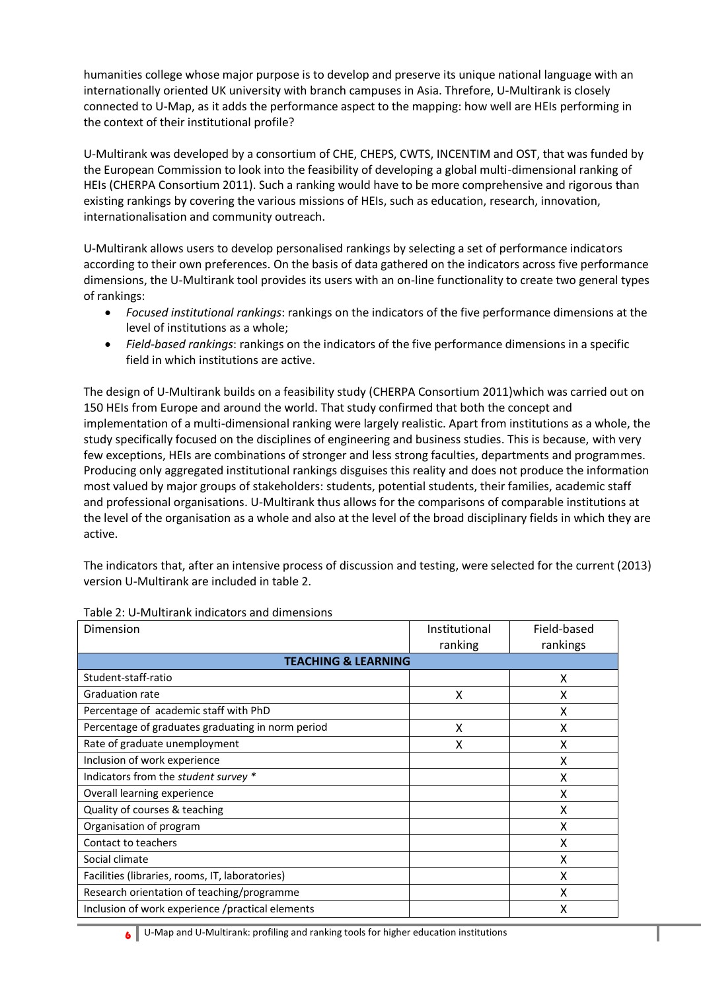humanities college whose major purpose is to develop and preserve its unique national language with an internationally oriented UK university with branch campuses in Asia. Threfore, U-Multirank is closely connected to U-Map, as it adds the performance aspect to the mapping: how well are HEIs performing in the context of their institutional profile?

U-Multirank was developed by a consortium of CHE, CHEPS, CWTS, INCENTIM and OST, that was funded by the European Commission to look into the feasibility of developing a global multi-dimensional ranking of HEIs (CHERPA Consortium 2011). Such a ranking would have to be more comprehensive and rigorous than existing rankings by covering the various missions of HEIs, such as education, research, innovation, internationalisation and community outreach.

U-Multirank allows users to develop personalised rankings by selecting a set of performance indicators according to their own preferences. On the basis of data gathered on the indicators across five performance dimensions, the U-Multirank tool provides its users with an on-line functionality to create two general types of rankings:

- *Focused institutional rankings*: rankings on the indicators of the five performance dimensions at the level of institutions as a whole;
- *Field-based rankings*: rankings on the indicators of the five performance dimensions in a specific field in which institutions are active.

The design of U-Multirank builds on a feasibility study (CHERPA Consortium 2011)which was carried out on 150 HEIs from Europe and around the world. That study confirmed that both the concept and implementation of a multi-dimensional ranking were largely realistic. Apart from institutions as a whole, the study specifically focused on the disciplines of engineering and business studies. This is because, with very few exceptions, HEIs are combinations of stronger and less strong faculties, departments and programmes. Producing only aggregated institutional rankings disguises this reality and does not produce the information most valued by major groups of stakeholders: students, potential students, their families, academic staff and professional organisations. U-Multirank thus allows for the comparisons of comparable institutions at the level of the organisation as a whole and also at the level of the broad disciplinary fields in which they are active.

The indicators that, after an intensive process of discussion and testing, were selected for the current (2013) version U-Multirank are included in table 2.

| Institutional                  | Field-based |  |  |  |
|--------------------------------|-------------|--|--|--|
| ranking                        | rankings    |  |  |  |
| <b>TEACHING &amp; LEARNING</b> |             |  |  |  |
|                                | X           |  |  |  |
| X                              | X           |  |  |  |
|                                | X           |  |  |  |
| x                              | X           |  |  |  |
| x                              | x           |  |  |  |
|                                | x           |  |  |  |
|                                | x           |  |  |  |
|                                | x           |  |  |  |
|                                | χ           |  |  |  |
|                                | x           |  |  |  |
|                                | x           |  |  |  |
|                                | х           |  |  |  |
|                                | x           |  |  |  |
|                                | X           |  |  |  |
|                                | X           |  |  |  |
|                                |             |  |  |  |

#### Table 2: U-Multirank indicators and dimensions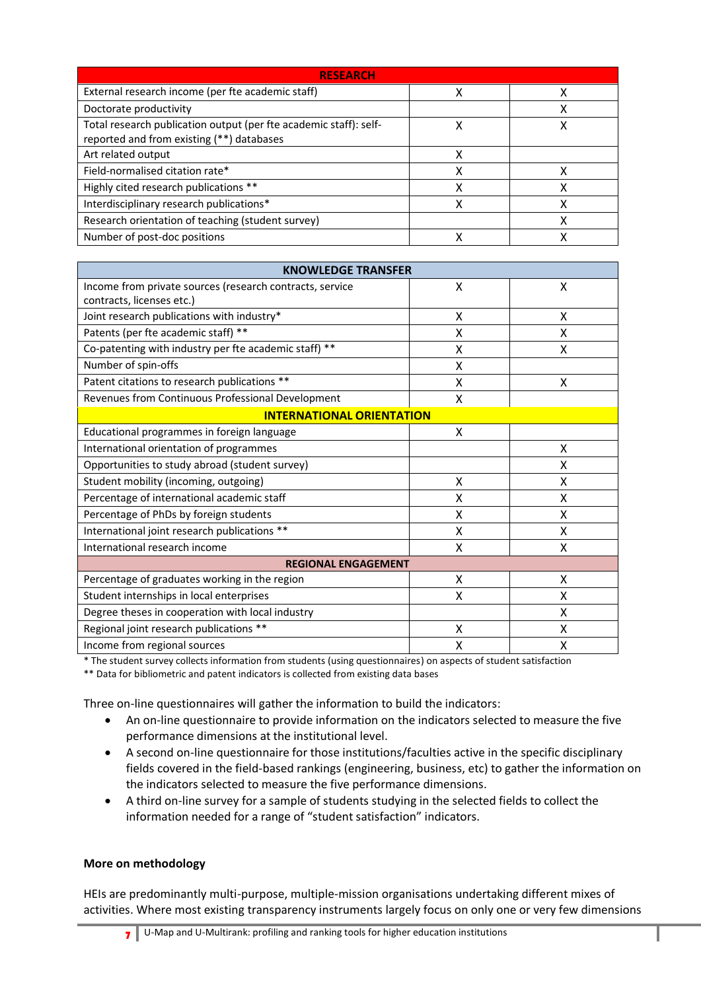| <b>RESEARCH</b>                                                                                                |   |  |  |
|----------------------------------------------------------------------------------------------------------------|---|--|--|
| External research income (per fte academic staff)                                                              | x |  |  |
| Doctorate productivity                                                                                         |   |  |  |
| Total research publication output (per fte academic staff): self-<br>reported and from existing (**) databases | χ |  |  |
| Art related output                                                                                             |   |  |  |
| Field-normalised citation rate*                                                                                |   |  |  |
| Highly cited research publications **                                                                          |   |  |  |
| Interdisciplinary research publications*                                                                       |   |  |  |
| Research orientation of teaching (student survey)                                                              |   |  |  |
| Number of post-doc positions                                                                                   |   |  |  |

| <b>KNOWLEDGE TRANSFER</b>                                |   |   |  |
|----------------------------------------------------------|---|---|--|
| Income from private sources (research contracts, service | X | X |  |
| contracts, licenses etc.)                                |   |   |  |
| Joint research publications with industry*               | X | X |  |
| Patents (per fte academic staff) **                      | X | X |  |
| Co-patenting with industry per fte academic staff) **    | X | X |  |
| Number of spin-offs                                      | X |   |  |
| Patent citations to research publications **             | X | X |  |
| Revenues from Continuous Professional Development        | X |   |  |
| <b>INTERNATIONAL ORIENTATION</b>                         |   |   |  |
| Educational programmes in foreign language               | X |   |  |
| International orientation of programmes                  |   | X |  |
| Opportunities to study abroad (student survey)           |   | Χ |  |
| Student mobility (incoming, outgoing)                    | X | X |  |
| Percentage of international academic staff               | X | X |  |
| Percentage of PhDs by foreign students                   | X | X |  |
| International joint research publications **             | X | X |  |
| International research income                            | X | X |  |
| <b>REGIONAL ENGAGEMENT</b>                               |   |   |  |
| Percentage of graduates working in the region            | X | X |  |
| Student internships in local enterprises                 | X | X |  |
| Degree theses in cooperation with local industry         |   | X |  |
| Regional joint research publications **                  | X | X |  |
| Income from regional sources                             | X | X |  |

\* The student survey collects information from students (using questionnaires) on aspects of student satisfaction

\*\* Data for bibliometric and patent indicators is collected from existing data bases

Three on-line questionnaires will gather the information to build the indicators:

- An on-line questionnaire to provide information on the indicators selected to measure the five performance dimensions at the institutional level.
- A second on-line questionnaire for those institutions/faculties active in the specific disciplinary fields covered in the field-based rankings (engineering, business, etc) to gather the information on the indicators selected to measure the five performance dimensions.
- A third on-line survey for a sample of students studying in the selected fields to collect the information needed for a range of "student satisfaction" indicators.

#### **More on methodology**

HEIs are predominantly multi-purpose, multiple-mission organisations undertaking different mixes of activities. Where most existing transparency instruments largely focus on only one or very few dimensions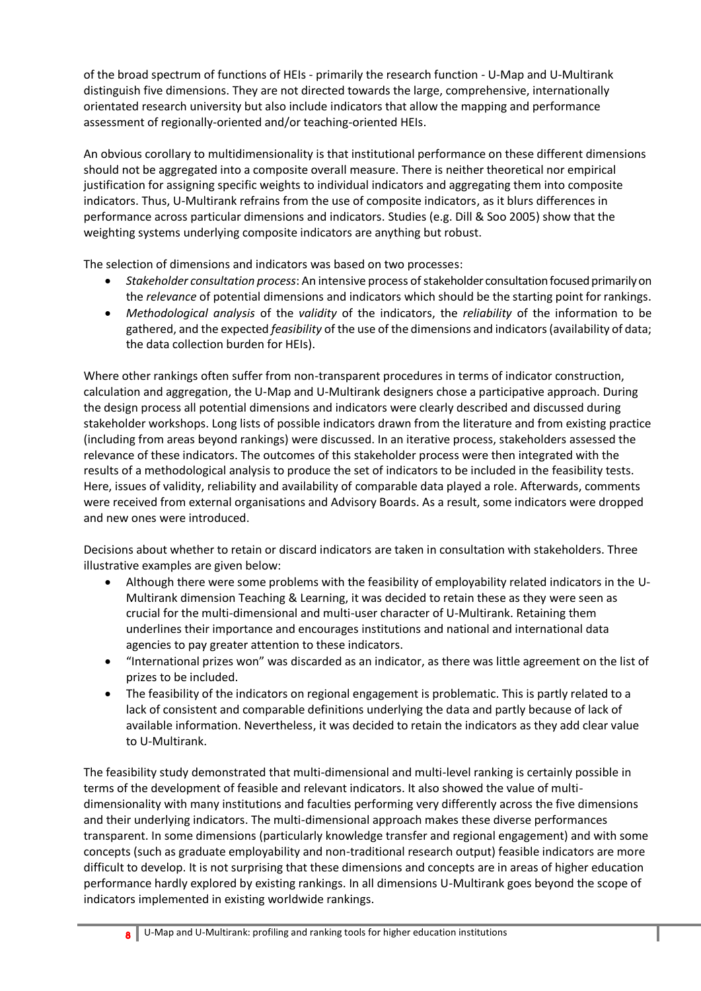of the broad spectrum of functions of HEIs - primarily the research function - U-Map and U-Multirank distinguish five dimensions. They are not directed towards the large, comprehensive, internationally orientated research university but also include indicators that allow the mapping and performance assessment of regionally-oriented and/or teaching-oriented HEIs.

An obvious corollary to multidimensionality is that institutional performance on these different dimensions should not be aggregated into a composite overall measure. There is neither theoretical nor empirical justification for assigning specific weights to individual indicators and aggregating them into composite indicators. Thus, U-Multirank refrains from the use of composite indicators, as it blurs differences in performance across particular dimensions and indicators. Studies (e.g. Dill & Soo 2005) show that the weighting systems underlying composite indicators are anything but robust.

The selection of dimensions and indicators was based on two processes:

- *Stakeholder consultation process*: An intensive process of stakeholder consultation focused primarily on the *relevance* of potential dimensions and indicators which should be the starting point for rankings.
- *Methodological analysis* of the *validity* of the indicators, the *reliability* of the information to be gathered, and the expected *feasibility* of the use of the dimensions and indicators (availability of data; the data collection burden for HEIs).

Where other rankings often suffer from non-transparent procedures in terms of indicator construction, calculation and aggregation, the U-Map and U-Multirank designers chose a participative approach. During the design process all potential dimensions and indicators were clearly described and discussed during stakeholder workshops. Long lists of possible indicators drawn from the literature and from existing practice (including from areas beyond rankings) were discussed. In an iterative process, stakeholders assessed the relevance of these indicators. The outcomes of this stakeholder process were then integrated with the results of a methodological analysis to produce the set of indicators to be included in the feasibility tests. Here, issues of validity, reliability and availability of comparable data played a role. Afterwards, comments were received from external organisations and Advisory Boards. As a result, some indicators were dropped and new ones were introduced.

Decisions about whether to retain or discard indicators are taken in consultation with stakeholders. Three illustrative examples are given below:

- Although there were some problems with the feasibility of employability related indicators in the U-Multirank dimension Teaching & Learning, it was decided to retain these as they were seen as crucial for the multi-dimensional and multi-user character of U-Multirank. Retaining them underlines their importance and encourages institutions and national and international data agencies to pay greater attention to these indicators.
- "International prizes won" was discarded as an indicator, as there was little agreement on the list of prizes to be included.
- The feasibility of the indicators on regional engagement is problematic. This is partly related to a lack of consistent and comparable definitions underlying the data and partly because of lack of available information. Nevertheless, it was decided to retain the indicators as they add clear value to U-Multirank.

The feasibility study demonstrated that multi-dimensional and multi-level ranking is certainly possible in terms of the development of feasible and relevant indicators. It also showed the value of multidimensionality with many institutions and faculties performing very differently across the five dimensions and their underlying indicators. The multi-dimensional approach makes these diverse performances transparent. In some dimensions (particularly knowledge transfer and regional engagement) and with some concepts (such as graduate employability and non-traditional research output) feasible indicators are more difficult to develop. It is not surprising that these dimensions and concepts are in areas of higher education performance hardly explored by existing rankings. In all dimensions U-Multirank goes beyond the scope of indicators implemented in existing worldwide rankings.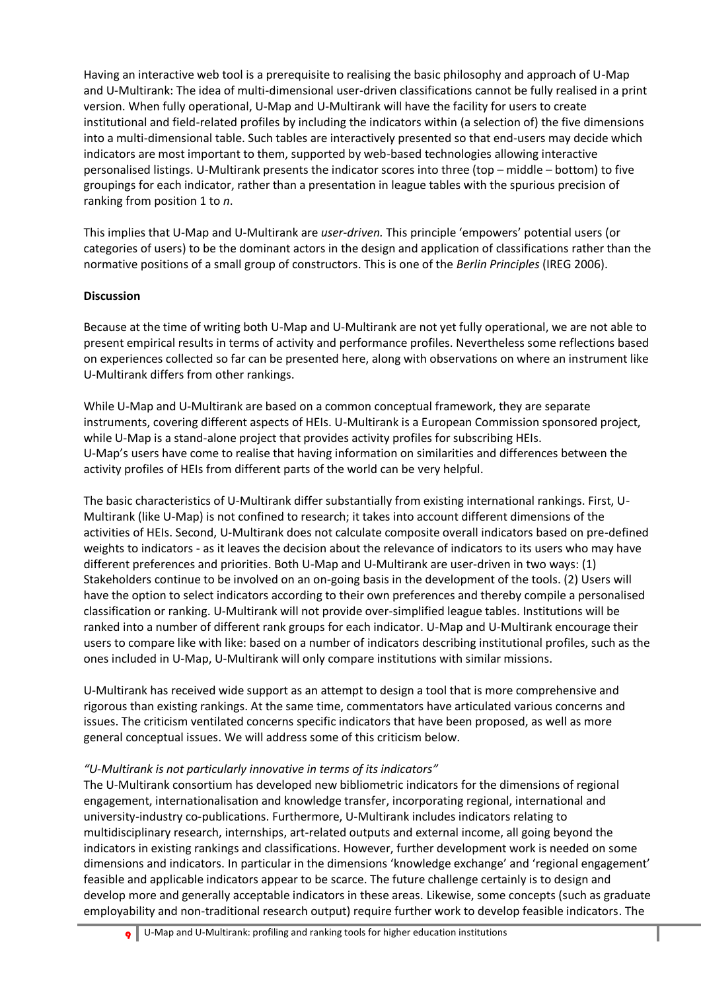Having an interactive web tool is a prerequisite to realising the basic philosophy and approach of U-Map and U-Multirank: The idea of multi-dimensional user-driven classifications cannot be fully realised in a print version. When fully operational, U-Map and U-Multirank will have the facility for users to create institutional and field-related profiles by including the indicators within (a selection of) the five dimensions into a multi-dimensional table. Such tables are interactively presented so that end-users may decide which indicators are most important to them, supported by web-based technologies allowing interactive personalised listings. U-Multirank presents the indicator scores into three (top – middle – bottom) to five groupings for each indicator, rather than a presentation in league tables with the spurious precision of ranking from position 1 to *n*.

This implies that U-Map and U-Multirank are *user-driven.* This principle 'empowers' potential users (or categories of users) to be the dominant actors in the design and application of classifications rather than the normative positions of a small group of constructors. This is one of the *Berlin Principles* (IREG 2006).

## **Discussion**

Because at the time of writing both U-Map and U-Multirank are not yet fully operational, we are not able to present empirical results in terms of activity and performance profiles. Nevertheless some reflections based on experiences collected so far can be presented here, along with observations on where an instrument like U-Multirank differs from other rankings.

While U-Map and U-Multirank are based on a common conceptual framework, they are separate instruments, covering different aspects of HEIs. U-Multirank is a European Commission sponsored project, while U-Map is a stand-alone project that provides activity profiles for subscribing HEIs. U-Map's users have come to realise that having information on similarities and differences between the activity profiles of HEIs from different parts of the world can be very helpful.

The basic characteristics of U-Multirank differ substantially from existing international rankings. First, U-Multirank (like U-Map) is not confined to research; it takes into account different dimensions of the activities of HEIs. Second, U-Multirank does not calculate composite overall indicators based on pre-defined weights to indicators - as it leaves the decision about the relevance of indicators to its users who may have different preferences and priorities. Both U-Map and U-Multirank are user-driven in two ways: (1) Stakeholders continue to be involved on an on-going basis in the development of the tools. (2) Users will have the option to select indicators according to their own preferences and thereby compile a personalised classification or ranking. U-Multirank will not provide over-simplified league tables. Institutions will be ranked into a number of different rank groups for each indicator. U-Map and U-Multirank encourage their users to compare like with like: based on a number of indicators describing institutional profiles, such as the ones included in U-Map, U-Multirank will only compare institutions with similar missions.

U-Multirank has received wide support as an attempt to design a tool that is more comprehensive and rigorous than existing rankings. At the same time, commentators have articulated various concerns and issues. The criticism ventilated concerns specific indicators that have been proposed, as well as more general conceptual issues. We will address some of this criticism below.

## *"U-Multirank is not particularly innovative in terms of its indicators"*

The U-Multirank consortium has developed new bibliometric indicators for the dimensions of regional engagement, internationalisation and knowledge transfer, incorporating regional, international and university-industry co-publications. Furthermore, U-Multirank includes indicators relating to multidisciplinary research, internships, art-related outputs and external income, all going beyond the indicators in existing rankings and classifications. However, further development work is needed on some dimensions and indicators. In particular in the dimensions 'knowledge exchange' and 'regional engagement' feasible and applicable indicators appear to be scarce. The future challenge certainly is to design and develop more and generally acceptable indicators in these areas. Likewise, some concepts (such as graduate employability and non-traditional research output) require further work to develop feasible indicators. The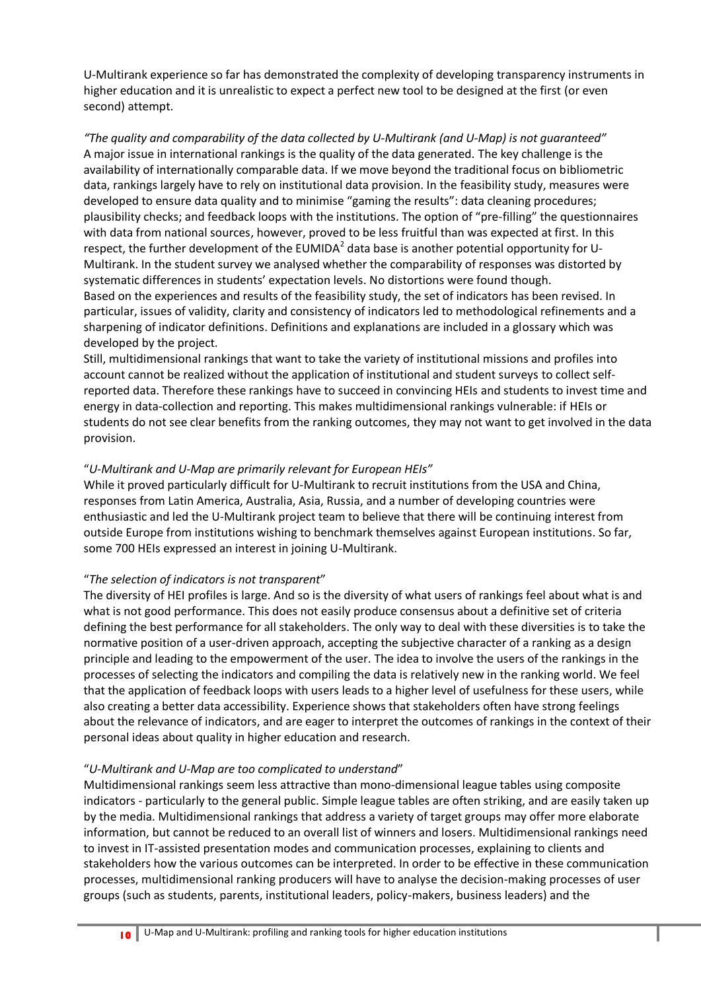U-Multirank experience so far has demonstrated the complexity of developing transparency instruments in higher education and it is unrealistic to expect a perfect new tool to be designed at the first (or even second) attempt.

*"The quality and comparability of the data collected by U-Multirank (and U-Map) is not guaranteed"* A major issue in international rankings is the quality of the data generated. The key challenge is the availability of internationally comparable data. If we move beyond the traditional focus on bibliometric data, rankings largely have to rely on institutional data provision. In the feasibility study, measures were developed to ensure data quality and to minimise "gaming the results": data cleaning procedures; plausibility checks; and feedback loops with the institutions. The option of "pre-filling" the questionnaires with data from national sources, however, proved to be less fruitful than was expected at first. In this respect, the further development of the EUMIDA<sup>2</sup> data base is another potential opportunity for U-Multirank. In the student survey we analysed whether the comparability of responses was distorted by systematic differences in students' expectation levels. No distortions were found though. Based on the experiences and results of the feasibility study, the set of indicators has been revised. In particular, issues of validity, clarity and consistency of indicators led to methodological refinements and a sharpening of indicator definitions. Definitions and explanations are included in a glossary which was developed by the project.

Still, multidimensional rankings that want to take the variety of institutional missions and profiles into account cannot be realized without the application of institutional and student surveys to collect selfreported data. Therefore these rankings have to succeed in convincing HEIs and students to invest time and energy in data-collection and reporting. This makes multidimensional rankings vulnerable: if HEIs or students do not see clear benefits from the ranking outcomes, they may not want to get involved in the data provision.

## "*U-Multirank and U-Map are primarily relevant for European HEIs"*

While it proved particularly difficult for U-Multirank to recruit institutions from the USA and China, responses from Latin America, Australia, Asia, Russia, and a number of developing countries were enthusiastic and led the U-Multirank project team to believe that there will be continuing interest from outside Europe from institutions wishing to benchmark themselves against European institutions. So far, some 700 HEIs expressed an interest in joining U-Multirank.

## "*The selection of indicators is not transparent*"

The diversity of HEI profiles is large. And so is the diversity of what users of rankings feel about what is and what is not good performance. This does not easily produce consensus about a definitive set of criteria defining the best performance for all stakeholders. The only way to deal with these diversities is to take the normative position of a user-driven approach, accepting the subjective character of a ranking as a design principle and leading to the empowerment of the user. The idea to involve the users of the rankings in the processes of selecting the indicators and compiling the data is relatively new in the ranking world. We feel that the application of feedback loops with users leads to a higher level of usefulness for these users, while also creating a better data accessibility. Experience shows that stakeholders often have strong feelings about the relevance of indicators, and are eager to interpret the outcomes of rankings in the context of their personal ideas about quality in higher education and research.

## "*U-Multirank and U-Map are too complicated to understand*"

Multidimensional rankings seem less attractive than mono-dimensional league tables using composite indicators - particularly to the general public. Simple league tables are often striking, and are easily taken up by the media. Multidimensional rankings that address a variety of target groups may offer more elaborate information, but cannot be reduced to an overall list of winners and losers. Multidimensional rankings need to invest in IT-assisted presentation modes and communication processes, explaining to clients and stakeholders how the various outcomes can be interpreted. In order to be effective in these communication processes, multidimensional ranking producers will have to analyse the decision-making processes of user groups (such as students, parents, institutional leaders, policy-makers, business leaders) and the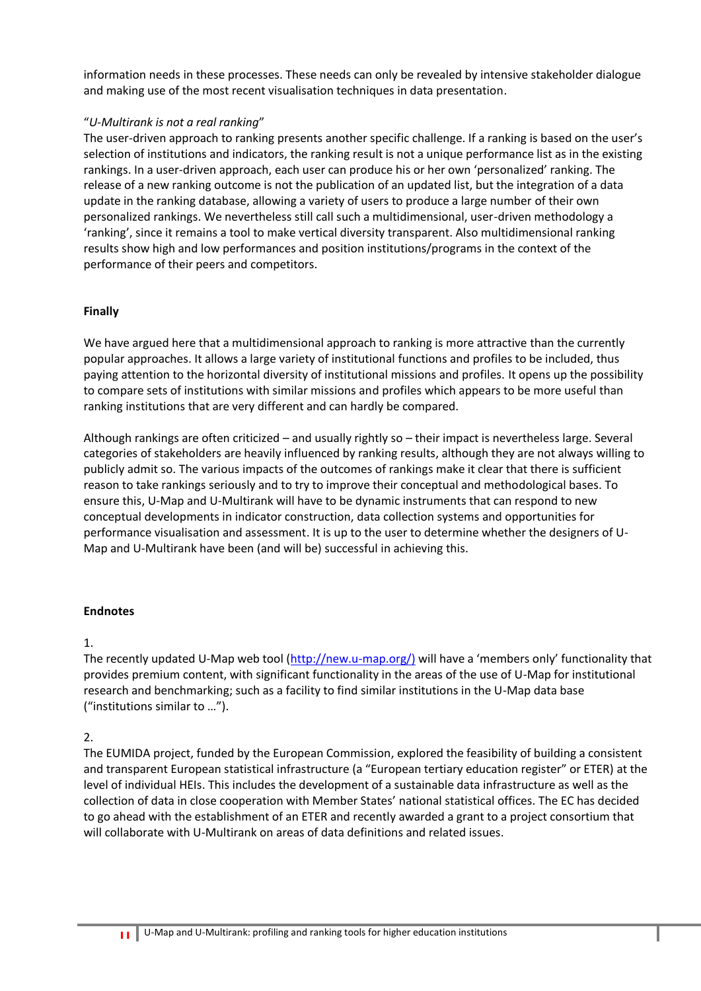information needs in these processes. These needs can only be revealed by intensive stakeholder dialogue and making use of the most recent visualisation techniques in data presentation.

## "*U-Multirank is not a real ranking*"

The user-driven approach to ranking presents another specific challenge. If a ranking is based on the user's selection of institutions and indicators, the ranking result is not a unique performance list as in the existing rankings. In a user-driven approach, each user can produce his or her own 'personalized' ranking. The release of a new ranking outcome is not the publication of an updated list, but the integration of a data update in the ranking database, allowing a variety of users to produce a large number of their own personalized rankings. We nevertheless still call such a multidimensional, user-driven methodology a 'ranking', since it remains a tool to make vertical diversity transparent. Also multidimensional ranking results show high and low performances and position institutions/programs in the context of the performance of their peers and competitors.

#### **Finally**

We have argued here that a multidimensional approach to ranking is more attractive than the currently popular approaches. It allows a large variety of institutional functions and profiles to be included, thus paying attention to the horizontal diversity of institutional missions and profiles. It opens up the possibility to compare sets of institutions with similar missions and profiles which appears to be more useful than ranking institutions that are very different and can hardly be compared.

Although rankings are often criticized – and usually rightly so – their impact is nevertheless large. Several categories of stakeholders are heavily influenced by ranking results, although they are not always willing to publicly admit so. The various impacts of the outcomes of rankings make it clear that there is sufficient reason to take rankings seriously and to try to improve their conceptual and methodological bases. To ensure this, U-Map and U-Multirank will have to be dynamic instruments that can respond to new conceptual developments in indicator construction, data collection systems and opportunities for performance visualisation and assessment. It is up to the user to determine whether the designers of U-Map and U-Multirank have been (and will be) successful in achieving this.

#### **Endnotes**

## 1.

The recently updated U-Map web tool [\(http://new.u-map.org/\)](http://new.u-map.org/) will have a 'members only' functionality that provides premium content, with significant functionality in the areas of the use of U-Map for institutional research and benchmarking; such as a facility to find similar institutions in the U-Map data base ("institutions similar to …").

## 2.

The EUMIDA project, funded by the European Commission, explored the feasibility of building a consistent and transparent European statistical infrastructure (a "European tertiary education register" or ETER) at the level of individual HEIs. This includes the development of a sustainable data infrastructure as well as the collection of data in close cooperation with Member States' national statistical offices. The EC has decided to go ahead with the establishment of an ETER and recently awarded a grant to a project consortium that will collaborate with U-Multirank on areas of data definitions and related issues.